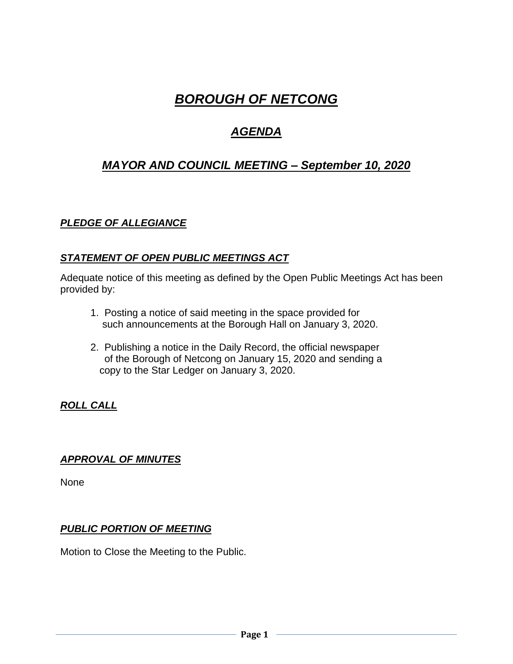# *BOROUGH OF NETCONG*

## *AGENDA*

## *MAYOR AND COUNCIL MEETING – September 10, 2020*

## *PLEDGE OF ALLEGIANCE*

## *STATEMENT OF OPEN PUBLIC MEETINGS ACT*

Adequate notice of this meeting as defined by the Open Public Meetings Act has been provided by:

- 1. Posting a notice of said meeting in the space provided for such announcements at the Borough Hall on January 3, 2020.
- 2. Publishing a notice in the Daily Record, the official newspaper of the Borough of Netcong on January 15, 2020 and sending a copy to the Star Ledger on January 3, 2020.

## *ROLL CALL*

## *APPROVAL OF MINUTES*

None

## *PUBLIC PORTION OF MEETING*

Motion to Close the Meeting to the Public.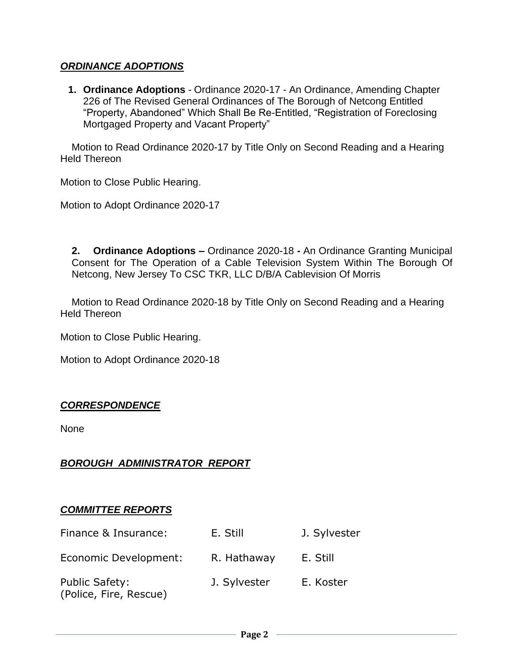#### *ORDINANCE ADOPTIONS*

**1. Ordinance Adoptions** - Ordinance 2020-17 - An Ordinance, Amending Chapter 226 of The Revised General Ordinances of The Borough of Netcong Entitled "Property, Abandoned" Which Shall Be Re-Entitled, "Registration of Foreclosing Mortgaged Property and Vacant Property"

 Motion to Read Ordinance 2020-17 by Title Only on Second Reading and a Hearing Held Thereon

Motion to Close Public Hearing.

Motion to Adopt Ordinance 2020-17

**2. Ordinance Adoptions –** Ordinance 2020-18 **-** An Ordinance Granting Municipal Consent for The Operation of a Cable Television System Within The Borough Of Netcong, New Jersey To CSC TKR, LLC D/B/A Cablevision Of Morris

 Motion to Read Ordinance 2020-18 by Title Only on Second Reading and a Hearing Held Thereon

Motion to Close Public Hearing.

Motion to Adopt Ordinance 2020-18

## *CORRESPONDENCE*

None

## *BOROUGH ADMINISTRATOR REPORT*

#### *COMMITTEE REPORTS*

| Finance & Insurance:                            | E. Still     | J. Sylvester |
|-------------------------------------------------|--------------|--------------|
| Economic Development:                           | R. Hathaway  | E. Still     |
| <b>Public Safety:</b><br>(Police, Fire, Rescue) | J. Sylvester | E. Koster    |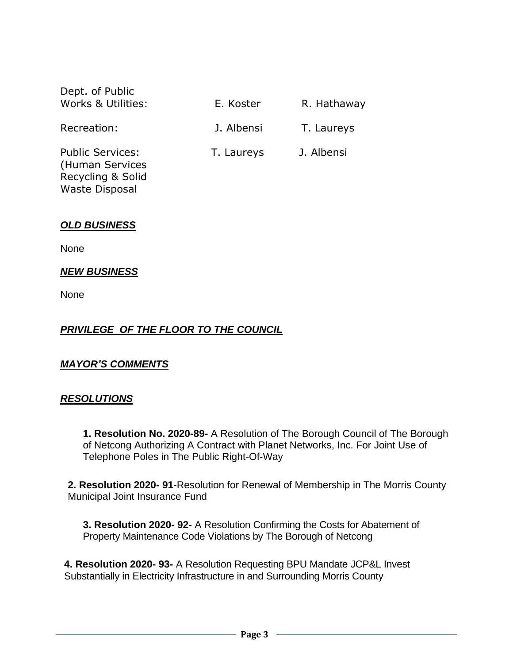| Dept. of Public<br>Works & Utilities: | E. Koster  | R. Hathaway |
|---------------------------------------|------------|-------------|
| Recreation:                           | J. Albensi | T. Laureys  |
| <b>Public Services:</b>               | T. Laureys | J. Albensi  |

(Human Services Recycling & Solid Waste Disposal

## *OLD BUSINESS*

None

## *NEW BUSINESS*

None

## *PRIVILEGE OF THE FLOOR TO THE COUNCIL*

## *MAYOR'S COMMENTS*

#### *RESOLUTIONS*

**1. Resolution No. 2020-89-** A Resolution of The Borough Council of The Borough of Netcong Authorizing A Contract with Planet Networks, Inc. For Joint Use of Telephone Poles in The Public Right-Of-Way

**2. Resolution 2020- 91**-Resolution for Renewal of Membership in The Morris County Municipal Joint Insurance Fund

**3. Resolution 2020- 92-** A Resolution Confirming the Costs for Abatement of Property Maintenance Code Violations by The Borough of Netcong

**4. Resolution 2020- 93-** A Resolution Requesting BPU Mandate JCP&L Invest Substantially in Electricity Infrastructure in and Surrounding Morris County